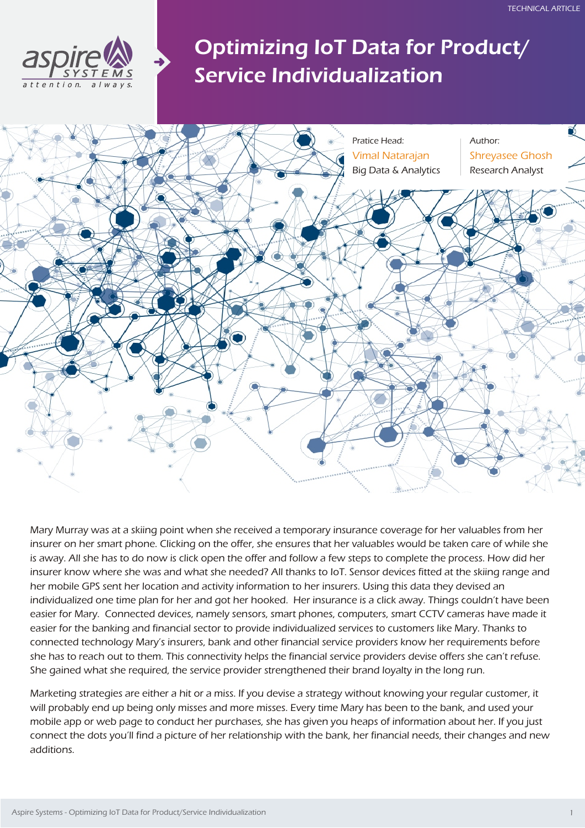

# Optimizing IoT Data for Product/ Service Individualization



Mary Murray was at a skiing point when she received a temporary insurance coverage for her valuables from her insurer on her smart phone. Clicking on the offer, she ensures that her valuables would be taken care of while she is away. All she has to do now is click open the offer and follow a few steps to complete the process. How did her insurer know where she was and what she needed? All thanks to IoT. Sensor devices fitted at the skiing range and her mobile GPS sent her location and activity information to her insurers. Using this data they devised an individualized one time plan for her and got her hooked. Her insurance is a click away. Things couldn't have been easier for Mary. Connected devices, namely sensors, smart phones, computers, smart CCTV cameras have made it easier for the banking and financial sector to provide individualized services to customers like Mary. Thanks to connected technology Mary's insurers, bank and other financial service providers know her requirements before she has to reach out to them. This connectivity helps the financial service providers devise offers she can't refuse. She gained what she required, the service provider strengthened their brand loyalty in the long run.

Marketing strategies are either a hit or a miss. If you devise a strategy without knowing your regular customer, it will probably end up being only misses and more misses. Every time Mary has been to the bank, and used your mobile app or web page to conduct her purchases, she has given you heaps of information about her. If you just connect the dots you'll find a picture of her relationship with the bank, her financial needs, their changes and new additions.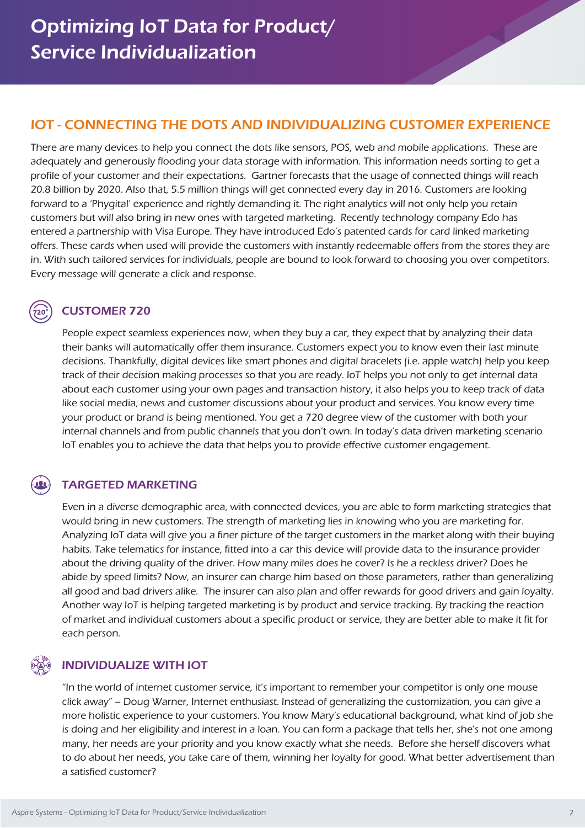## IOT - CONNECTING THE DOTS AND INDIVIDUALIZING CUSTOMER EXPERIENCE

There are many devices to help you connect the dots like sensors, POS, web and mobile applications. These are adequately and generously flooding your data storage with information. This information needs sorting to get a profile of your customer and their expectations. Gartner forecasts that the usage of connected things will reach 20.8 billion by 2020. Also that, 5.5 million things will get connected every day in 2016. Customers are looking forward to a 'Phygital' experience and rightly demanding it. The right analytics will not only help you retain customers but will also bring in new ones with targeted marketing. Recently technology company Edo has entered a partnership with Visa Europe. They have introduced Edo's patented cards for card linked marketing offers. These cards when used will provide the customers with instantly redeemable offers from the stores they are in. With such tailored services for individuals, people are bound to look forward to choosing you over competitors. Every message will generate a click and response.

### CUSTOMER 720

People expect seamless experiences now, when they buy a car, they expect that by analyzing their data their banks will automatically offer them insurance. Customers expect you to know even their last minute decisions. Thankfully, digital devices like smart phones and digital bracelets (i.e. apple watch) help you keep track of their decision making processes so that you are ready. IoT helps you not only to get internal data about each customer using your own pages and transaction history, it also helps you to keep track of data like social media, news and customer discussions about your product and services. You know every time your product or brand is being mentioned. You get a 720 degree view of the customer with both your internal channels and from public channels that you don't own. In today's data driven marketing scenario IoT enables you to achieve the data that helps you to provide effective customer engagement.

### TARGETED MARKETING

Even in a diverse demographic area, with connected devices, you are able to form marketing strategies that would bring in new customers. The strength of marketing lies in knowing who you are marketing for. Analyzing IoT data will give you a finer picture of the target customers in the market along with their buying habits. Take telematics for instance, fitted into a car this device will provide data to the insurance provider about the driving quality of the driver. How many miles does he cover? Is he a reckless driver? Does he abide by speed limits? Now, an insurer can charge him based on those parameters, rather than generalizing all good and bad drivers alike. The insurer can also plan and offer rewards for good drivers and gain loyalty. Another way IoT is helping targeted marketing is by product and service tracking. By tracking the reaction of market and individual customers about a specific product or service, they are better able to make it fit for each person.

### INDIVIDUALIZE WITH IOT

"In the world of internet customer service, it's important to remember your competitor is only one mouse click away" – Doug Warner, Internet enthusiast. Instead of generalizing the customization, you can give a more holistic experience to your customers. You know Mary's educational background, what kind of job she is doing and her eligibility and interest in a loan. You can form a package that tells her, she's not one among many, her needs are your priority and you know exactly what she needs. Before she herself discovers what to do about her needs, you take care of them, winning her loyalty for good. What better advertisement than a satisfied customer?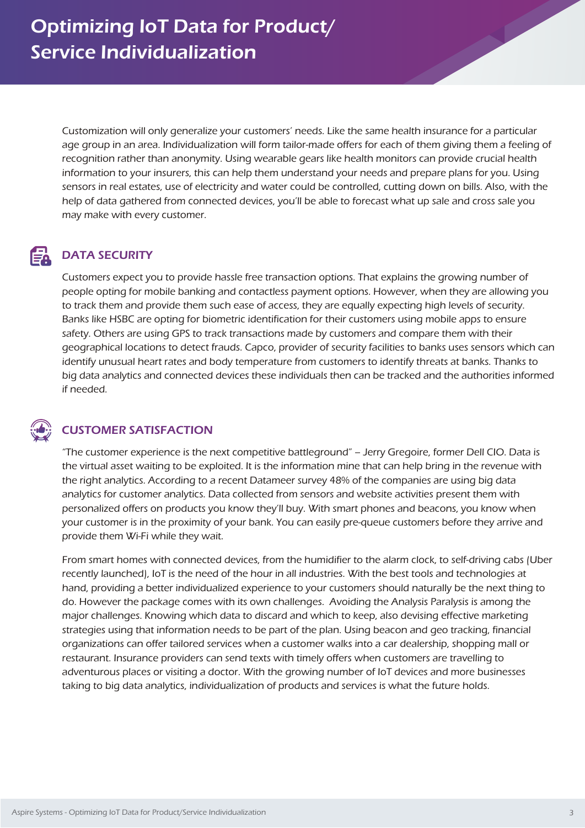Customization will only generalize your customers' needs. Like the same health insurance for a particular age group in an area. Individualization will form tailor-made offers for each of them giving them a feeling of recognition rather than anonymity. Using wearable gears like health monitors can provide crucial health information to your insurers, this can help them understand your needs and prepare plans for you. Using sensors in real estates, use of electricity and water could be controlled, cutting down on bills. Also, with the help of data gathered from connected devices, you'll be able to forecast what up sale and cross sale you may make with every customer.

### DATA SECURITY EÀ

Customers expect you to provide hassle free transaction options. That explains the growing number of people opting for mobile banking and contactless payment options. However, when they are allowing you to track them and provide them such ease of access, they are equally expecting high levels of security. Banks like HSBC are opting for biometric identification for their customers using mobile apps to ensure safety. Others are using GPS to track transactions made by customers and compare them with their geographical locations to detect frauds. Capco, provider of security facilities to banks uses sensors which can identify unusual heart rates and body temperature from customers to identify threats at banks. Thanks to big data analytics and connected devices these individuals then can be tracked and the authorities informed if needed.

### CUSTOMER SATISFACTION

"The customer experience is the next competitive battleground" – Jerry Gregoire, former Dell CIO. Data is the virtual asset waiting to be exploited. It is the information mine that can help bring in the revenue with the right analytics. According to a recent Datameer survey 48% of the companies are using big data analytics for customer analytics. Data collected from sensors and website activities present them with personalized offers on products you know they'll buy. With smart phones and beacons, you know when your customer is in the proximity of your bank. You can easily pre-queue customers before they arrive and provide them Wi-Fi while they wait.

From smart homes with connected devices, from the humidifier to the alarm clock, to self-driving cabs (Uber recently launched), IoT is the need of the hour in all industries. With the best tools and technologies at hand, providing a better individualized experience to your customers should naturally be the next thing to do. However the package comes with its own challenges. Avoiding the Analysis Paralysis is among the major challenges. Knowing which data to discard and which to keep, also devising effective marketing strategies using that information needs to be part of the plan. Using beacon and geo tracking, financial organizations can offer tailored services when a customer walks into a car dealership, shopping mall or restaurant. Insurance providers can send texts with timely offers when customers are travelling to adventurous places or visiting a doctor. With the growing number of IoT devices and more businesses taking to big data analytics, individualization of products and services is what the future holds.